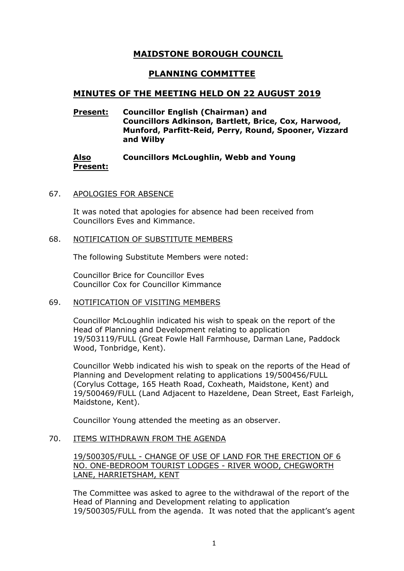# **MAIDSTONE BOROUGH COUNCIL**

# **PLANNING COMMITTEE**

# **MINUTES OF THE MEETING HELD ON 22 AUGUST 2019**

# **Present: Councillor English (Chairman) and Councillors Adkinson, Bartlett, Brice, Cox, Harwood, Munford, Parfitt-Reid, Perry, Round, Spooner, Vizzard and Wilby**

#### **Also Present: Councillors McLoughlin, Webb and Young**

# 67. APOLOGIES FOR ABSENCE

It was noted that apologies for absence had been received from Councillors Eves and Kimmance.

### 68. NOTIFICATION OF SUBSTITUTE MEMBERS

The following Substitute Members were noted:

Councillor Brice for Councillor Eves Councillor Cox for Councillor Kimmance

### 69. NOTIFICATION OF VISITING MEMBERS

Councillor McLoughlin indicated his wish to speak on the report of the Head of Planning and Development relating to application 19/503119/FULL (Great Fowle Hall Farmhouse, Darman Lane, Paddock Wood, Tonbridge, Kent).

Councillor Webb indicated his wish to speak on the reports of the Head of Planning and Development relating to applications 19/500456/FULL (Corylus Cottage, 165 Heath Road, Coxheath, Maidstone, Kent) and 19/500469/FULL (Land Adjacent to Hazeldene, Dean Street, East Farleigh, Maidstone, Kent).

Councillor Young attended the meeting as an observer.

### 70. ITEMS WITHDRAWN FROM THE AGENDA

19/500305/FULL - CHANGE OF USE OF LAND FOR THE ERECTION OF 6 NO. ONE-BEDROOM TOURIST LODGES - RIVER WOOD, CHEGWORTH LANE, HARRIETSHAM, KENT

The Committee was asked to agree to the withdrawal of the report of the Head of Planning and Development relating to application 19/500305/FULL from the agenda. It was noted that the applicant's agent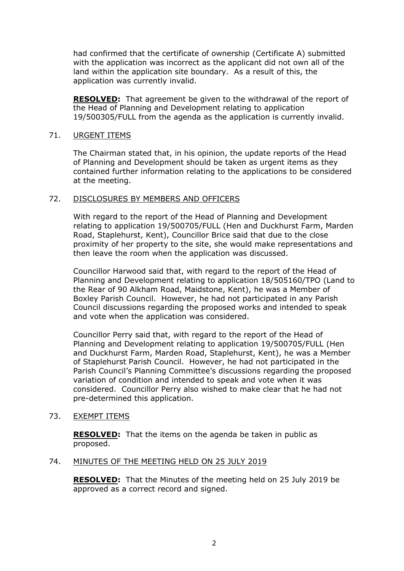had confirmed that the certificate of ownership (Certificate A) submitted with the application was incorrect as the applicant did not own all of the land within the application site boundary. As a result of this, the application was currently invalid.

**RESOLVED:** That agreement be given to the withdrawal of the report of the Head of Planning and Development relating to application 19/500305/FULL from the agenda as the application is currently invalid.

### 71. URGENT ITEMS

The Chairman stated that, in his opinion, the update reports of the Head of Planning and Development should be taken as urgent items as they contained further information relating to the applications to be considered at the meeting.

# 72. DISCLOSURES BY MEMBERS AND OFFICERS

With regard to the report of the Head of Planning and Development relating to application 19/500705/FULL (Hen and Duckhurst Farm, Marden Road, Staplehurst, Kent), Councillor Brice said that due to the close proximity of her property to the site, she would make representations and then leave the room when the application was discussed.

Councillor Harwood said that, with regard to the report of the Head of Planning and Development relating to application 18/505160/TPO (Land to the Rear of 90 Alkham Road, Maidstone, Kent), he was a Member of Boxley Parish Council. However, he had not participated in any Parish Council discussions regarding the proposed works and intended to speak and vote when the application was considered.

Councillor Perry said that, with regard to the report of the Head of Planning and Development relating to application 19/500705/FULL (Hen and Duckhurst Farm, Marden Road, Staplehurst, Kent), he was a Member of Staplehurst Parish Council. However, he had not participated in the Parish Council's Planning Committee's discussions regarding the proposed variation of condition and intended to speak and vote when it was considered. Councillor Perry also wished to make clear that he had not pre-determined this application.

### 73. EXEMPT ITEMS

**RESOLVED:** That the items on the agenda be taken in public as proposed.

### 74. MINUTES OF THE MEETING HELD ON 25 JULY 2019

**RESOLVED:** That the Minutes of the meeting held on 25 July 2019 be approved as a correct record and signed.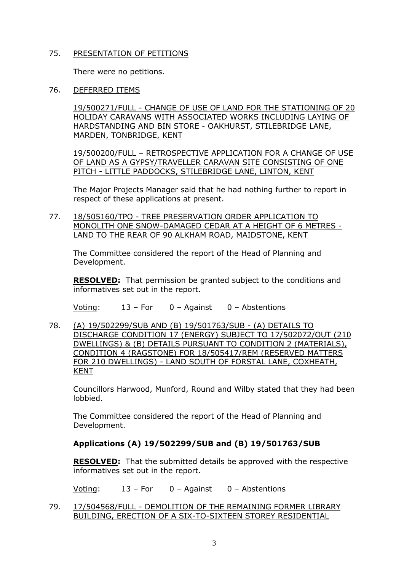# 75. PRESENTATION OF PETITIONS

There were no petitions.

76. DEFERRED ITEMS

19/500271/FULL - CHANGE OF USE OF LAND FOR THE STATIONING OF 20 HOLIDAY CARAVANS WITH ASSOCIATED WORKS INCLUDING LAYING OF HARDSTANDING AND BIN STORE - OAKHURST, STILEBRIDGE LANE, MARDEN, TONBRIDGE, KENT

19/500200/FULL – RETROSPECTIVE APPLICATION FOR A CHANGE OF USE OF LAND AS A GYPSY/TRAVELLER CARAVAN SITE CONSISTING OF ONE PITCH - LITTLE PADDOCKS, STILEBRIDGE LANE, LINTON, KENT

The Major Projects Manager said that he had nothing further to report in respect of these applications at present.

77. 18/505160/TPO - TREE PRESERVATION ORDER APPLICATION TO MONOLITH ONE SNOW-DAMAGED CEDAR AT A HEIGHT OF 6 METRES - LAND TO THE REAR OF 90 ALKHAM ROAD, MAIDSTONE, KENT

The Committee considered the report of the Head of Planning and Development.

**RESOLVED:** That permission be granted subject to the conditions and informatives set out in the report.

Voting: 13 – For 0 – Against 0 – Abstentions

78. (A) 19/502299/SUB AND (B) 19/501763/SUB - (A) DETAILS TO DISCHARGE CONDITION 17 (ENERGY) SUBJECT TO 17/502072/OUT (210 DWELLINGS) & (B) DETAILS PURSUANT TO CONDITION 2 (MATERIALS), CONDITION 4 (RAGSTONE) FOR 18/505417/REM (RESERVED MATTERS FOR 210 DWELLINGS) - LAND SOUTH OF FORSTAL LANE, COXHEATH, KENT

Councillors Harwood, Munford, Round and Wilby stated that they had been lobbied.

The Committee considered the report of the Head of Planning and Development.

# **Applications (A) 19/502299/SUB and (B) 19/501763/SUB**

**RESOLVED:** That the submitted details be approved with the respective informatives set out in the report.

Voting: 13 – For 0 – Against 0 – Abstentions

79. 17/504568/FULL - DEMOLITION OF THE REMAINING FORMER LIBRARY BUILDING, ERECTION OF A SIX-TO-SIXTEEN STOREY RESIDENTIAL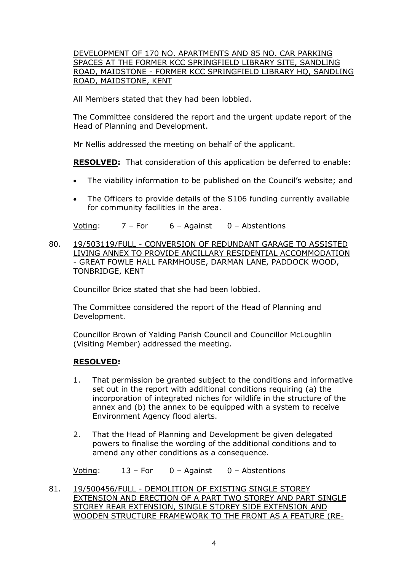# DEVELOPMENT OF 170 NO. APARTMENTS AND 85 NO. CAR PARKING SPACES AT THE FORMER KCC SPRINGFIELD LIBRARY SITE, SANDLING ROAD, MAIDSTONE - FORMER KCC SPRINGFIELD LIBRARY HO, SANDLING ROAD, MAIDSTONE, KENT

All Members stated that they had been lobbied.

The Committee considered the report and the urgent update report of the Head of Planning and Development.

Mr Nellis addressed the meeting on behalf of the applicant.

**RESOLVED:** That consideration of this application be deferred to enable:

- The viability information to be published on the Council's website; and
- The Officers to provide details of the S106 funding currently available for community facilities in the area.

Voting:  $7 - For$  6 – Against 0 – Abstentions

80. 19/503119/FULL - CONVERSION OF REDUNDANT GARAGE TO ASSISTED LIVING ANNEX TO PROVIDE ANCILLARY RESIDENTIAL ACCOMMODATION - GREAT FOWLE HALL FARMHOUSE, DARMAN LANE, PADDOCK WOOD, TONBRIDGE, KENT

Councillor Brice stated that she had been lobbied.

The Committee considered the report of the Head of Planning and Development.

Councillor Brown of Yalding Parish Council and Councillor McLoughlin (Visiting Member) addressed the meeting.

### **RESOLVED:**

- 1. That permission be granted subject to the conditions and informative set out in the report with additional conditions requiring (a) the incorporation of integrated niches for wildlife in the structure of the annex and (b) the annex to be equipped with a system to receive Environment Agency flood alerts.
- 2. That the Head of Planning and Development be given delegated powers to finalise the wording of the additional conditions and to amend any other conditions as a consequence.

Voting: 13 – For 0 – Against 0 – Abstentions

81. 19/500456/FULL - DEMOLITION OF EXISTING SINGLE STOREY EXTENSION AND ERECTION OF A PART TWO STOREY AND PART SINGLE STOREY REAR EXTENSION, SINGLE STOREY SIDE EXTENSION AND WOODEN STRUCTURE FRAMEWORK TO THE FRONT AS A FEATURE (RE-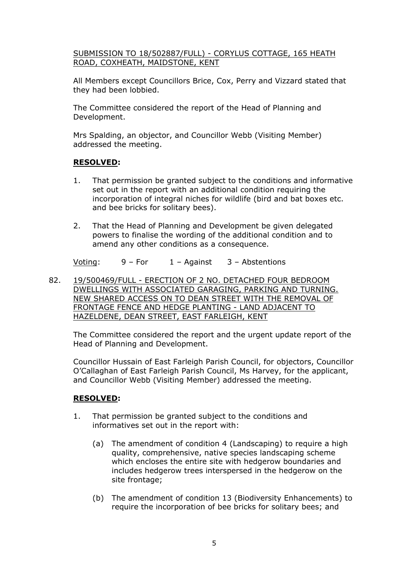SUBMISSION TO 18/502887/FULL) - CORYLUS COTTAGE, 165 HEATH ROAD, COXHEATH, MAIDSTONE, KENT

All Members except Councillors Brice, Cox, Perry and Vizzard stated that they had been lobbied.

The Committee considered the report of the Head of Planning and Development.

Mrs Spalding, an objector, and Councillor Webb (Visiting Member) addressed the meeting.

# **RESOLVED:**

- 1. That permission be granted subject to the conditions and informative set out in the report with an additional condition requiring the incorporation of integral niches for wildlife (bird and bat boxes etc. and bee bricks for solitary bees).
- 2. That the Head of Planning and Development be given delegated powers to finalise the wording of the additional condition and to amend any other conditions as a consequence.

Voting:  $9 - For$   $1 -$  Against  $3 -$  Abstentions

82. 19/500469/FULL - ERECTION OF 2 NO. DETACHED FOUR BEDROOM DWELLINGS WITH ASSOCIATED GARAGING, PARKING AND TURNING. NEW SHARED ACCESS ON TO DEAN STREET WITH THE REMOVAL OF FRONTAGE FENCE AND HEDGE PLANTING - LAND ADJACENT TO HAZELDENE, DEAN STREET, EAST FARLEIGH, KENT

The Committee considered the report and the urgent update report of the Head of Planning and Development.

Councillor Hussain of East Farleigh Parish Council, for objectors, Councillor O'Callaghan of East Farleigh Parish Council, Ms Harvey, for the applicant, and Councillor Webb (Visiting Member) addressed the meeting.

# **RESOLVED:**

- 1. That permission be granted subject to the conditions and informatives set out in the report with:
	- (a) The amendment of condition 4 (Landscaping) to require a high quality, comprehensive, native species landscaping scheme which encloses the entire site with hedgerow boundaries and includes hedgerow trees interspersed in the hedgerow on the site frontage;
	- (b) The amendment of condition 13 (Biodiversity Enhancements) to require the incorporation of bee bricks for solitary bees; and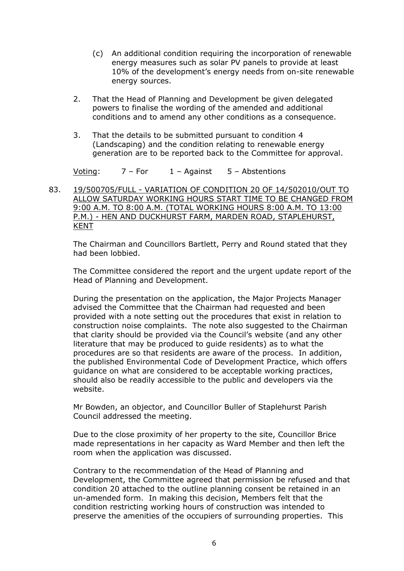- (c) An additional condition requiring the incorporation of renewable energy measures such as solar PV panels to provide at least 10% of the development's energy needs from on-site renewable energy sources.
- 2. That the Head of Planning and Development be given delegated powers to finalise the wording of the amended and additional conditions and to amend any other conditions as a consequence.
- 3. That the details to be submitted pursuant to condition 4 (Landscaping) and the condition relating to renewable energy generation are to be reported back to the Committee for approval.

Voting:  $7 - For$   $1 - Againt$   $5 - Abst$ entions

83. 19/500705/FULL - VARIATION OF CONDITION 20 OF 14/502010/OUT TO ALLOW SATURDAY WORKING HOURS START TIME TO BE CHANGED FROM 9:00 A.M. TO 8:00 A.M. (TOTAL WORKING HOURS 8:00 A.M. TO 13:00 P.M.) - HEN AND DUCKHURST FARM, MARDEN ROAD, STAPLEHURST, KENT

The Chairman and Councillors Bartlett, Perry and Round stated that they had been lobbied.

The Committee considered the report and the urgent update report of the Head of Planning and Development.

During the presentation on the application, the Major Projects Manager advised the Committee that the Chairman had requested and been provided with a note setting out the procedures that exist in relation to construction noise complaints. The note also suggested to the Chairman that clarity should be provided via the Council's website (and any other literature that may be produced to guide residents) as to what the procedures are so that residents are aware of the process. In addition, the published Environmental Code of Development Practice, which offers guidance on what are considered to be acceptable working practices, should also be readily accessible to the public and developers via the website.

Mr Bowden, an objector, and Councillor Buller of Staplehurst Parish Council addressed the meeting.

Due to the close proximity of her property to the site, Councillor Brice made representations in her capacity as Ward Member and then left the room when the application was discussed.

Contrary to the recommendation of the Head of Planning and Development, the Committee agreed that permission be refused and that condition 20 attached to the outline planning consent be retained in an un-amended form. In making this decision, Members felt that the condition restricting working hours of construction was intended to preserve the amenities of the occupiers of surrounding properties. This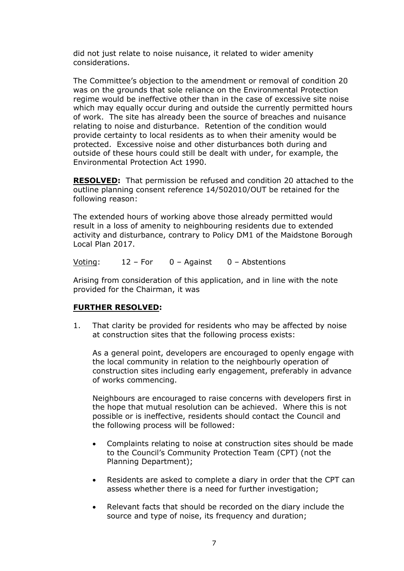did not just relate to noise nuisance, it related to wider amenity considerations.

The Committee's objection to the amendment or removal of condition 20 was on the grounds that sole reliance on the Environmental Protection regime would be ineffective other than in the case of excessive site noise which may equally occur during and outside the currently permitted hours of work. The site has already been the source of breaches and nuisance relating to noise and disturbance. Retention of the condition would provide certainty to local residents as to when their amenity would be protected. Excessive noise and other disturbances both during and outside of these hours could still be dealt with under, for example, the Environmental Protection Act 1990.

**RESOLVED:** That permission be refused and condition 20 attached to the outline planning consent reference 14/502010/OUT be retained for the following reason:

The extended hours of working above those already permitted would result in a loss of amenity to neighbouring residents due to extended activity and disturbance, contrary to Policy DM1 of the Maidstone Borough Local Plan 2017.

Voting: 12 – For 0 – Against 0 – Abstentions

Arising from consideration of this application, and in line with the note provided for the Chairman, it was

# **FURTHER RESOLVED:**

1. That clarity be provided for residents who may be affected by noise at construction sites that the following process exists:

As a general point, developers are encouraged to openly engage with the local community in relation to the neighbourly operation of construction sites including early engagement, preferably in advance of works commencing.

Neighbours are encouraged to raise concerns with developers first in the hope that mutual resolution can be achieved. Where this is not possible or is ineffective, residents should contact the Council and the following process will be followed:

- Complaints relating to noise at construction sites should be made to the Council's Community Protection Team (CPT) (not the Planning Department);
- Residents are asked to complete a diary in order that the CPT can assess whether there is a need for further investigation;
- Relevant facts that should be recorded on the diary include the source and type of noise, its frequency and duration;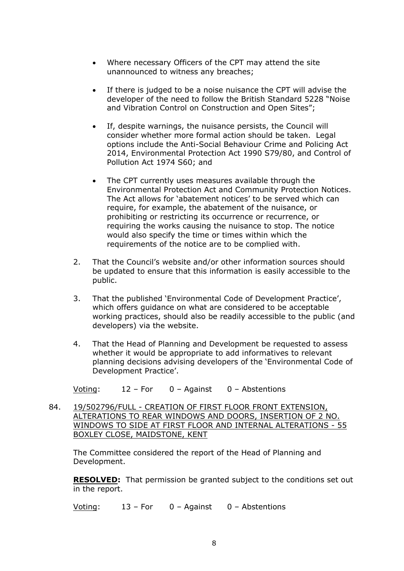- Where necessary Officers of the CPT may attend the site unannounced to witness any breaches;
- If there is judged to be a noise nuisance the CPT will advise the developer of the need to follow the British Standard 5228 "Noise and Vibration Control on Construction and Open Sites";
- If, despite warnings, the nuisance persists, the Council will consider whether more formal action should be taken. Legal options include the Anti-Social Behaviour Crime and Policing Act 2014, Environmental Protection Act 1990 S79/80, and Control of Pollution Act 1974 S60; and
- The CPT currently uses measures available through the Environmental Protection Act and Community Protection Notices. The Act allows for 'abatement notices' to be served which can require, for example, the abatement of the nuisance, or prohibiting or restricting its occurrence or recurrence, or requiring the works causing the nuisance to stop. The notice would also specify the time or times within which the requirements of the notice are to be complied with.
- 2. That the Council's website and/or other information sources should be updated to ensure that this information is easily accessible to the public.
- 3. That the published 'Environmental Code of Development Practice', which offers guidance on what are considered to be acceptable working practices, should also be readily accessible to the public (and developers) via the website.
- 4. That the Head of Planning and Development be requested to assess whether it would be appropriate to add informatives to relevant planning decisions advising developers of the 'Environmental Code of Development Practice'.

Voting: 12 – For 0 – Against 0 – Abstentions

84. 19/502796/FULL - CREATION OF FIRST FLOOR FRONT EXTENSION, ALTERATIONS TO REAR WINDOWS AND DOORS, INSERTION OF 2 NO. WINDOWS TO SIDE AT FIRST FLOOR AND INTERNAL ALTERATIONS - 55 BOXLEY CLOSE, MAIDSTONE, KENT

The Committee considered the report of the Head of Planning and Development.

**RESOLVED:** That permission be granted subject to the conditions set out in the report.

Voting: 13 – For 0 – Against 0 – Abstentions